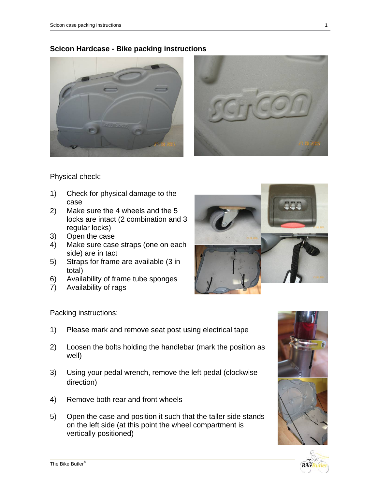



Physical check:

- 1) Check for physical damage to the case
- 2) Make sure the 4 wheels and the 5 locks are intact (2 combination and 3 regular locks)
- 3) Open the case
- 4) Make sure case straps (one on each side) are in tact
- 5) Straps for frame are available (3 in total)
- 6) Availability of frame tube sponges
- 7) Availability of rags



Packing instructions:

- 1) Please mark and remove seat post using electrical tape
- 2) Loosen the bolts holding the handlebar (mark the position as well)
- 3) Using your pedal wrench, remove the left pedal (clockwise direction)
- 4) Remove both rear and front wheels
- 5) Open the case and position it such that the taller side stands on the left side (at this point the wheel compartment is vertically positioned)



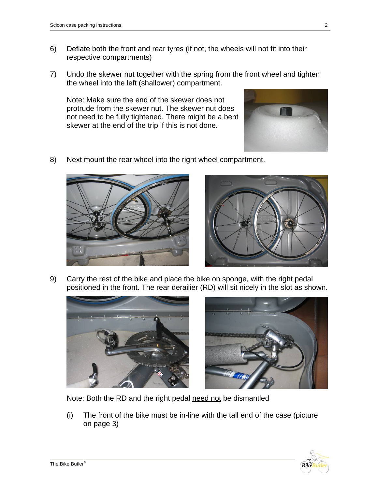- 6) Deflate both the front and rear tyres (if not, the wheels will not fit into their respective compartments)
- 7) Undo the skewer nut together with the spring from the front wheel and tighten the wheel into the left (shallower) compartment.

Note: Make sure the end of the skewer does not protrude from the skewer nut. The skewer nut does not need to be fully tightened. There might be a bent skewer at the end of the trip if this is not done.



8) Next mount the rear wheel into the right wheel compartment.





9) Carry the rest of the bike and place the bike on sponge, with the right pedal positioned in the front. The rear derailier (RD) will sit nicely in the slot as shown.





Note: Both the RD and the right pedal need not be dismantled

(i) The front of the bike must be in-line with the tall end of the case (picture on page 3)

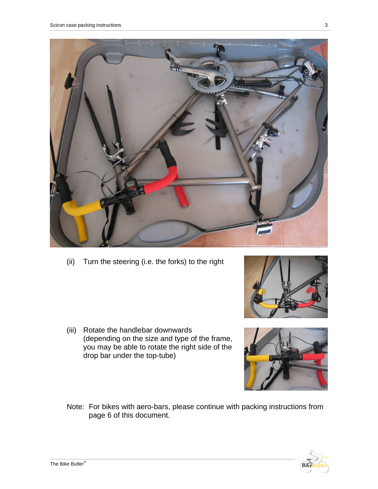

(ii) Turn the steering (i.e. the forks) to the right

- (iii) Rotate the handlebar downwards (depending on the size and type of the frame, you may be able to rotate the right side of the drop bar under the top-tube)
- Note: For bikes with aero-bars, please continue with packing instructions from page 6 of this document.



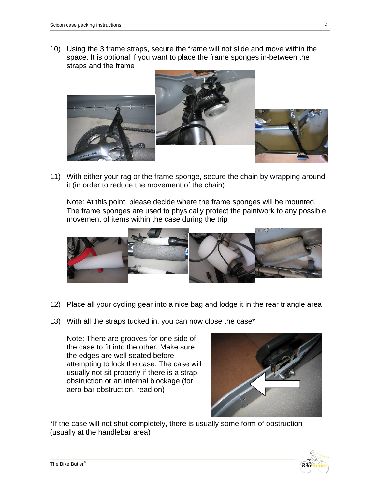10) Using the 3 frame straps, secure the frame will not slide and move within the space. It is optional if you want to place the frame sponges in-between the straps and the frame



11) With either your rag or the frame sponge, secure the chain by wrapping around it (in order to reduce the movement of the chain)

Note: At this point, please decide where the frame sponges will be mounted. The frame sponges are used to physically protect the paintwork to any possible movement of items within the case during the trip



- 12) Place all your cycling gear into a nice bag and lodge it in the rear triangle area
- 13) With all the straps tucked in, you can now close the case\*

Note: There are grooves for one side of the case to fit into the other. Make sure the edges are well seated before attempting to lock the case. The case will usually not sit properly if there is a strap obstruction or an internal blockage (for aero-bar obstruction, read on)



\*If the case will not shut completely, there is usually some form of obstruction (usually at the handlebar area)

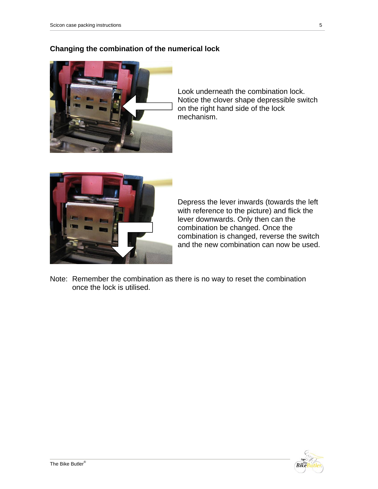## **Changing the combination of the numerical lock**



Look underneath the combination lock. Notice the clover shape depressible switch on the right hand side of the lock mechanism.



Depress the lever inwards (towards the left with reference to the picture) and flick the lever downwards. Only then can the combination be changed. Once the combination is changed, reverse the switch and the new combination can now be used.

Note: Remember the combination as there is no way to reset the combination once the lock is utilised.